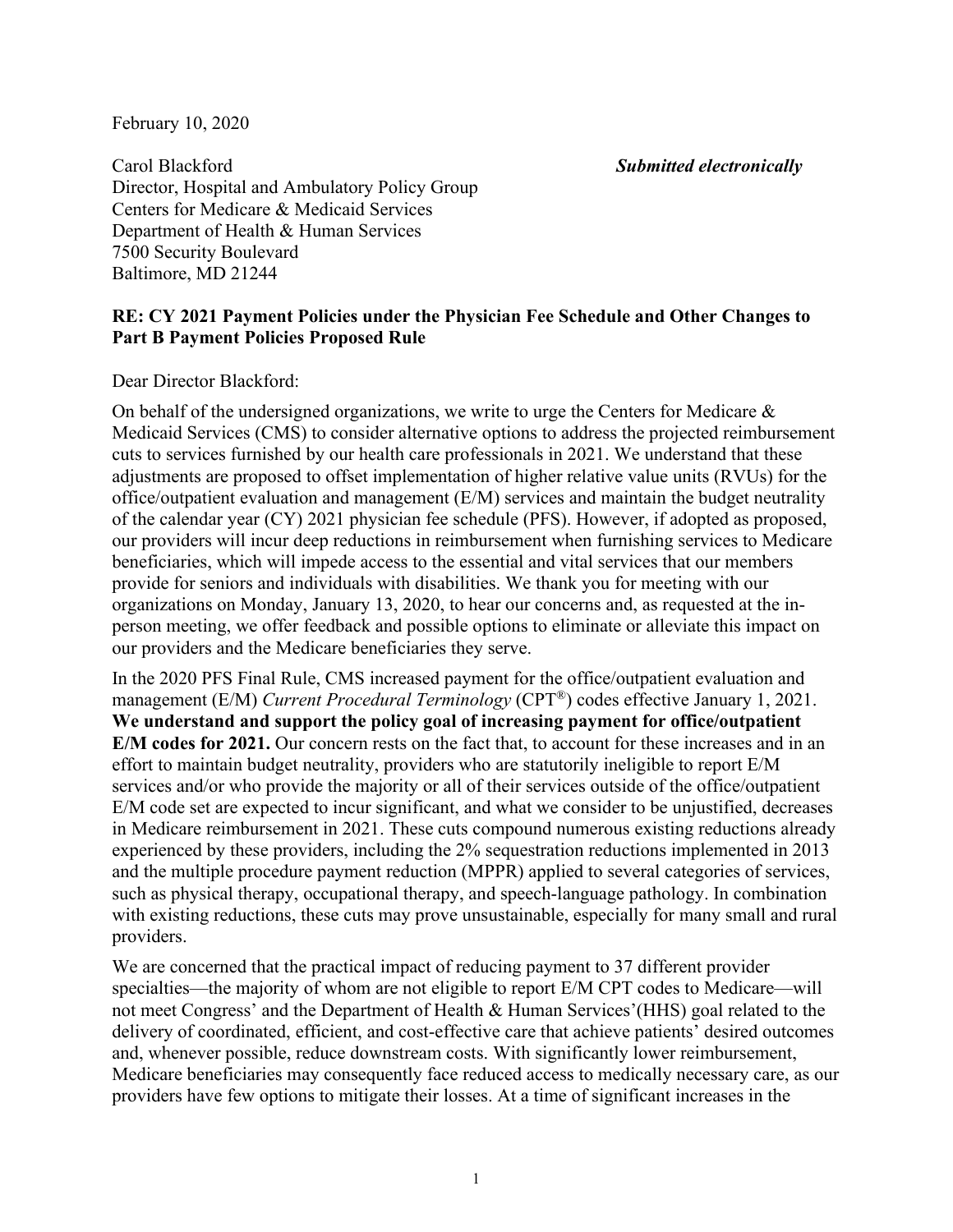February 10, 2020

Carol Blackford *Submitted electronically*  Director, Hospital and Ambulatory Policy Group Centers for Medicare & Medicaid Services Department of Health & Human Services 7500 Security Boulevard Baltimore, MD 21244

# **RE: CY 2021 Payment Policies under the Physician Fee Schedule and Other Changes to Part B Payment Policies Proposed Rule**

Dear Director Blackford:

On behalf of the undersigned organizations, we write to urge the Centers for Medicare  $\&$ Medicaid Services (CMS) to consider alternative options to address the projected reimbursement cuts to services furnished by our health care professionals in 2021. We understand that these adjustments are proposed to offset implementation of higher relative value units (RVUs) for the office/outpatient evaluation and management (E/M) services and maintain the budget neutrality of the calendar year (CY) 2021 physician fee schedule (PFS). However, if adopted as proposed, our providers will incur deep reductions in reimbursement when furnishing services to Medicare beneficiaries, which will impede access to the essential and vital services that our members provide for seniors and individuals with disabilities. We thank you for meeting with our organizations on Monday, January 13, 2020, to hear our concerns and, as requested at the inperson meeting, we offer feedback and possible options to eliminate or alleviate this impact on our providers and the Medicare beneficiaries they serve.

In the 2020 PFS Final Rule, CMS increased payment for the office/outpatient evaluation and management (E/M) *Current Procedural Terminology* (CPT®) codes effective January 1, 2021. **We understand and support the policy goal of increasing payment for office/outpatient E/M codes for 2021.** Our concern rests on the fact that, to account for these increases and in an effort to maintain budget neutrality, providers who are statutorily ineligible to report E/M services and/or who provide the majority or all of their services outside of the office/outpatient E/M code set are expected to incur significant, and what we consider to be unjustified, decreases in Medicare reimbursement in 2021. These cuts compound numerous existing reductions already experienced by these providers, including the 2% sequestration reductions implemented in 2013 and the multiple procedure payment reduction (MPPR) applied to several categories of services, such as physical therapy, occupational therapy, and speech-language pathology. In combination with existing reductions, these cuts may prove unsustainable, especially for many small and rural providers.

We are concerned that the practical impact of reducing payment to 37 different provider specialties—the majority of whom are not eligible to report E/M CPT codes to Medicare—will not meet Congress' and the Department of Health & Human Services'(HHS) goal related to the delivery of coordinated, efficient, and cost-effective care that achieve patients' desired outcomes and, whenever possible, reduce downstream costs. With significantly lower reimbursement, Medicare beneficiaries may consequently face reduced access to medically necessary care, as our providers have few options to mitigate their losses. At a time of significant increases in the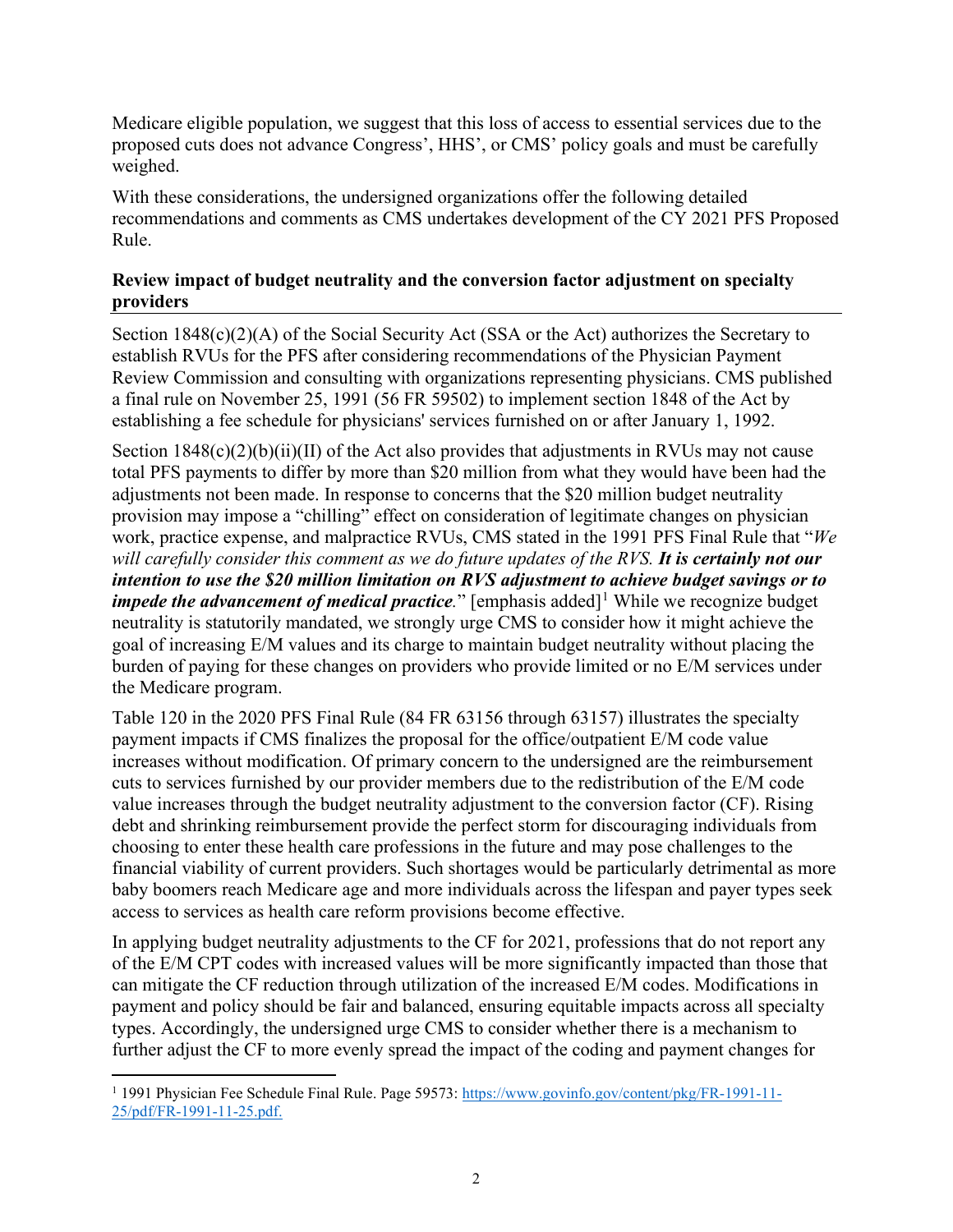Medicare eligible population, we suggest that this loss of access to essential services due to the proposed cuts does not advance Congress', HHS', or CMS' policy goals and must be carefully weighed.

With these considerations, the undersigned organizations offer the following detailed recommendations and comments as CMS undertakes development of the CY 2021 PFS Proposed Rule.

## **Review impact of budget neutrality and the conversion factor adjustment on specialty providers**

Section 1848(c)(2)(A) of the Social Security Act (SSA or the Act) authorizes the Secretary to establish RVUs for the PFS after considering recommendations of the Physician Payment Review Commission and consulting with organizations representing physicians. CMS published a final rule on November 25, 1991 (56 FR 59502) to implement section 1848 of the Act by establishing a fee schedule for physicians' services furnished on or after January 1, 1992.

Section  $1848(c)(2)(b)(ii)(II)$  of the Act also provides that adjustments in RVUs may not cause total PFS payments to differ by more than \$20 million from what they would have been had the adjustments not been made. In response to concerns that the \$20 million budget neutrality provision may impose a "chilling" effect on consideration of legitimate changes on physician work, practice expense, and malpractice RVUs, CMS stated in the 1991 PFS Final Rule that "*We will carefully consider this comment as we do future updates of the RVS. It is certainly not our intention to use the \$20 million limitation on RVS adjustment to achieve budget savings or to impede the advancement of medical practice*." [emphasis added]<sup>[1](#page-1-0)</sup> While we recognize budget neutrality is statutorily mandated, we strongly urge CMS to consider how it might achieve the goal of increasing E/M values and its charge to maintain budget neutrality without placing the burden of paying for these changes on providers who provide limited or no E/M services under the Medicare program.

Table 120 in the 2020 PFS Final Rule (84 FR 63156 through 63157) illustrates the specialty payment impacts if CMS finalizes the proposal for the office/outpatient E/M code value increases without modification. Of primary concern to the undersigned are the reimbursement cuts to services furnished by our provider members due to the redistribution of the E/M code value increases through the budget neutrality adjustment to the conversion factor (CF). Rising debt and shrinking reimbursement provide the perfect storm for discouraging individuals from choosing to enter these health care professions in the future and may pose challenges to the financial viability of current providers. Such shortages would be particularly detrimental as more baby boomers reach Medicare age and more individuals across the lifespan and payer types seek access to services as health care reform provisions become effective.

In applying budget neutrality adjustments to the CF for 2021, professions that do not report any of the E/M CPT codes with increased values will be more significantly impacted than those that can mitigate the CF reduction through utilization of the increased E/M codes. Modifications in payment and policy should be fair and balanced, ensuring equitable impacts across all specialty types. Accordingly, the undersigned urge CMS to consider whether there is a mechanism to further adjust the CF to more evenly spread the impact of the coding and payment changes for

<span id="page-1-0"></span><sup>&</sup>lt;sup>1</sup> 1991 Physician Fee Schedule Final Rule. Page 59573: [https://www.govinfo.gov/content/pkg/FR-1991-11-](https://www.govinfo.gov/content/pkg/FR-1991-11-25/pdf/FR-1991-11-25.pdf) [25/pdf/FR-1991-11-25.pdf.](https://www.govinfo.gov/content/pkg/FR-1991-11-25/pdf/FR-1991-11-25.pdf)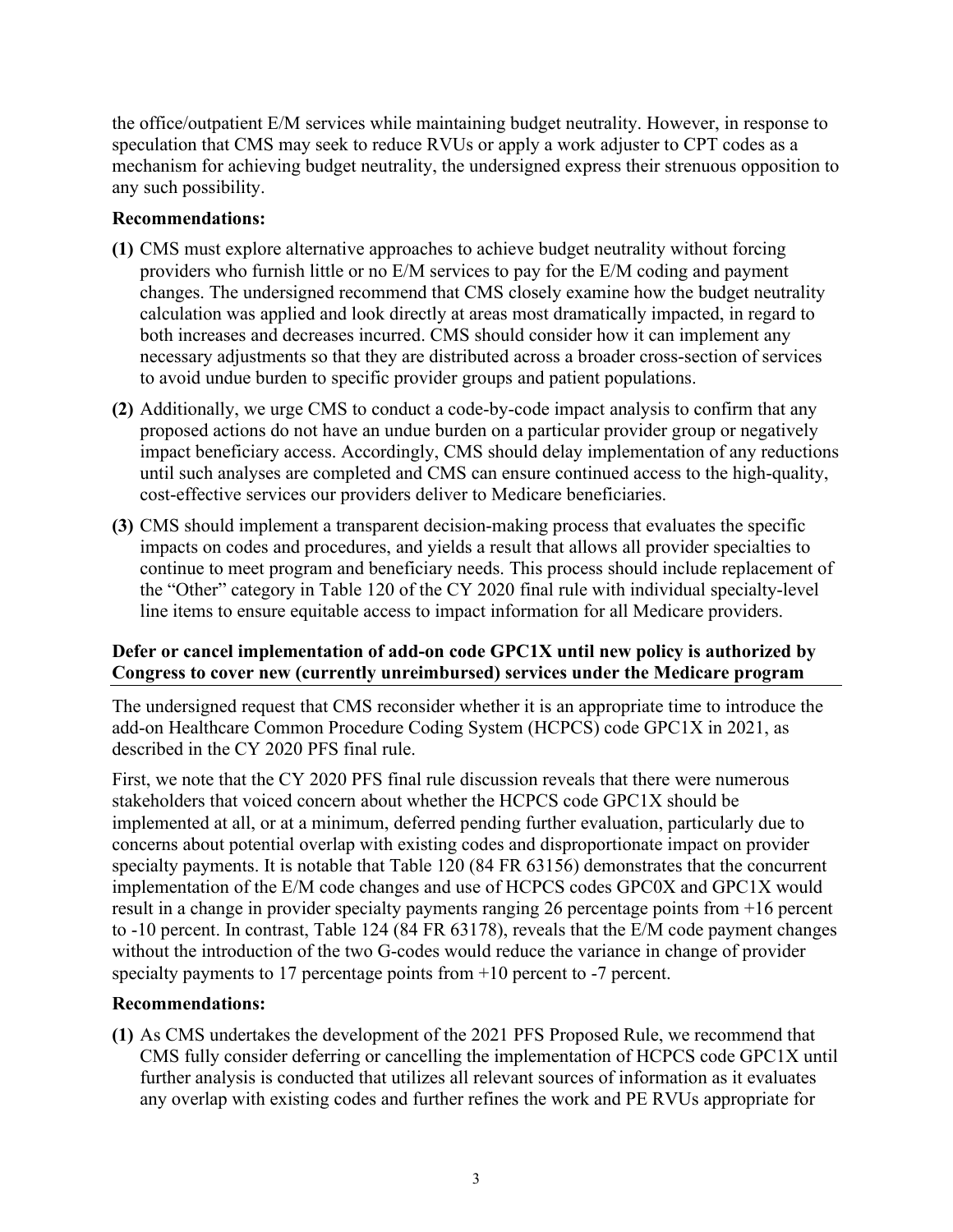the office/outpatient E/M services while maintaining budget neutrality. However, in response to speculation that CMS may seek to reduce RVUs or apply a work adjuster to CPT codes as a mechanism for achieving budget neutrality, the undersigned express their strenuous opposition to any such possibility.

#### **Recommendations:**

- **(1)** CMS must explore alternative approaches to achieve budget neutrality without forcing providers who furnish little or no E/M services to pay for the E/M coding and payment changes. The undersigned recommend that CMS closely examine how the budget neutrality calculation was applied and look directly at areas most dramatically impacted, in regard to both increases and decreases incurred. CMS should consider how it can implement any necessary adjustments so that they are distributed across a broader cross-section of services to avoid undue burden to specific provider groups and patient populations.
- **(2)** Additionally, we urge CMS to conduct a code-by-code impact analysis to confirm that any proposed actions do not have an undue burden on a particular provider group or negatively impact beneficiary access. Accordingly, CMS should delay implementation of any reductions until such analyses are completed and CMS can ensure continued access to the high-quality, cost-effective services our providers deliver to Medicare beneficiaries.
- **(3)** CMS should implement a transparent decision-making process that evaluates the specific impacts on codes and procedures, and yields a result that allows all provider specialties to continue to meet program and beneficiary needs. This process should include replacement of the "Other" category in Table 120 of the CY 2020 final rule with individual specialty-level line items to ensure equitable access to impact information for all Medicare providers.

## **Defer or cancel implementation of add-on code GPC1X until new policy is authorized by Congress to cover new (currently unreimbursed) services under the Medicare program**

The undersigned request that CMS reconsider whether it is an appropriate time to introduce the add-on Healthcare Common Procedure Coding System (HCPCS) code GPC1X in 2021, as described in the CY 2020 PFS final rule.

First, we note that the CY 2020 PFS final rule discussion reveals that there were numerous stakeholders that voiced concern about whether the HCPCS code GPC1X should be implemented at all, or at a minimum, deferred pending further evaluation, particularly due to concerns about potential overlap with existing codes and disproportionate impact on provider specialty payments. It is notable that Table 120 (84 FR 63156) demonstrates that the concurrent implementation of the E/M code changes and use of HCPCS codes GPC0X and GPC1X would result in a change in provider specialty payments ranging 26 percentage points from +16 percent to -10 percent. In contrast, Table 124 (84 FR 63178), reveals that the E/M code payment changes without the introduction of the two G-codes would reduce the variance in change of provider specialty payments to 17 percentage points from  $+10$  percent to -7 percent.

## **Recommendations:**

**(1)** As CMS undertakes the development of the 2021 PFS Proposed Rule, we recommend that CMS fully consider deferring or cancelling the implementation of HCPCS code GPC1X until further analysis is conducted that utilizes all relevant sources of information as it evaluates any overlap with existing codes and further refines the work and PE RVUs appropriate for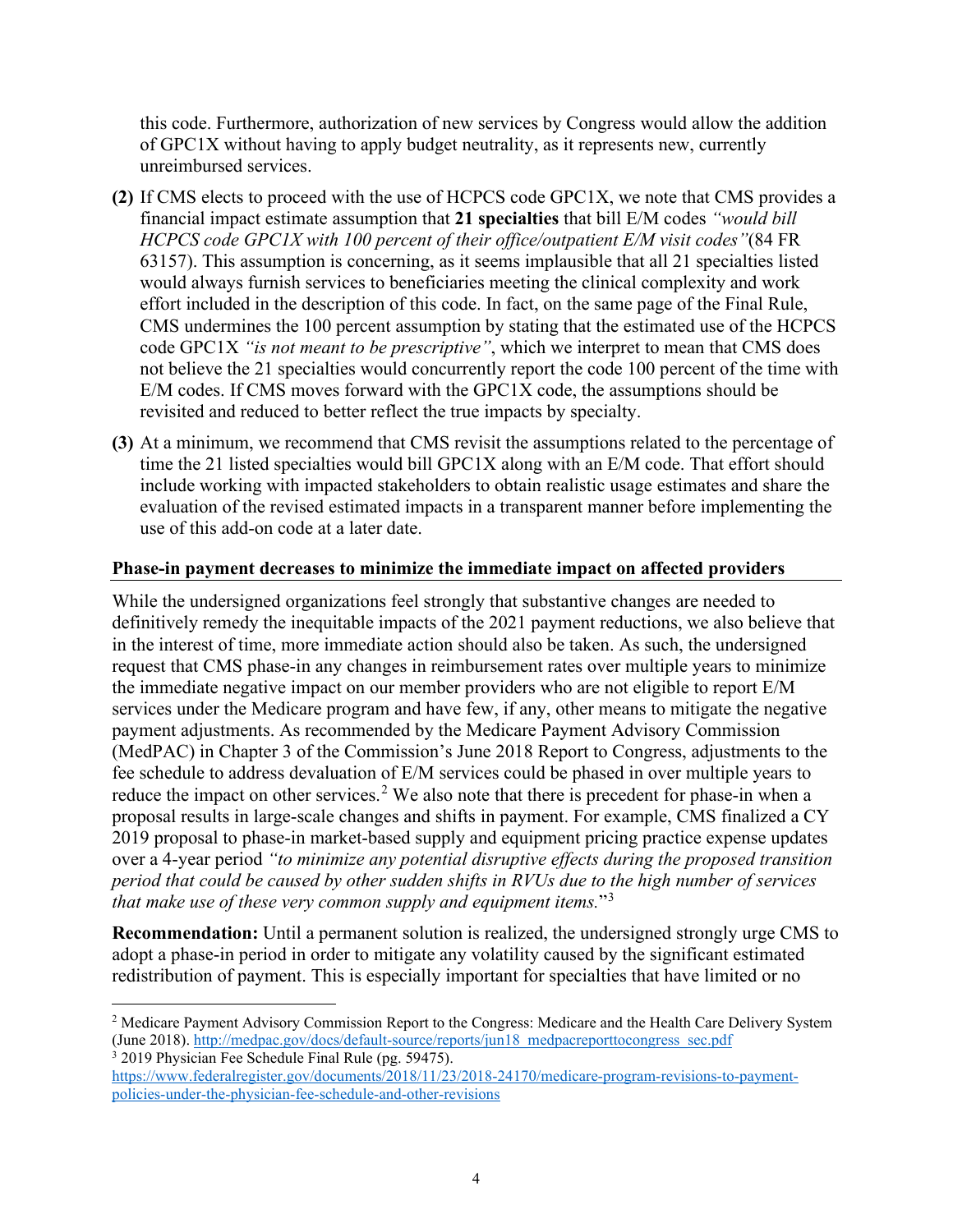this code. Furthermore, authorization of new services by Congress would allow the addition of GPC1X without having to apply budget neutrality, as it represents new, currently unreimbursed services.

- **(2)** If CMS elects to proceed with the use of HCPCS code GPC1X, we note that CMS provides a financial impact estimate assumption that **21 specialties** that bill E/M codes *"would bill HCPCS code GPC1X with 100 percent of their office/outpatient E/M visit codes"*(84 FR 63157). This assumption is concerning, as it seems implausible that all 21 specialties listed would always furnish services to beneficiaries meeting the clinical complexity and work effort included in the description of this code. In fact, on the same page of the Final Rule, CMS undermines the 100 percent assumption by stating that the estimated use of the HCPCS code GPC1X *"is not meant to be prescriptive"*, which we interpret to mean that CMS does not believe the 21 specialties would concurrently report the code 100 percent of the time with E/M codes. If CMS moves forward with the GPC1X code, the assumptions should be revisited and reduced to better reflect the true impacts by specialty.
- **(3)** At a minimum, we recommend that CMS revisit the assumptions related to the percentage of time the 21 listed specialties would bill GPC1X along with an E/M code. That effort should include working with impacted stakeholders to obtain realistic usage estimates and share the evaluation of the revised estimated impacts in a transparent manner before implementing the use of this add-on code at a later date.

#### **Phase-in payment decreases to minimize the immediate impact on affected providers**

While the undersigned organizations feel strongly that substantive changes are needed to definitively remedy the inequitable impacts of the 2021 payment reductions, we also believe that in the interest of time, more immediate action should also be taken. As such, the undersigned request that CMS phase-in any changes in reimbursement rates over multiple years to minimize the immediate negative impact on our member providers who are not eligible to report E/M services under the Medicare program and have few, if any, other means to mitigate the negative payment adjustments. As recommended by the Medicare Payment Advisory Commission (MedPAC) in Chapter 3 of the Commission's June 2018 Report to Congress, adjustments to the fee schedule to address devaluation of E/M services could be phased in over multiple years to reduce the impact on other services.<sup>[2](#page-3-0)</sup> We also note that there is precedent for phase-in when a proposal results in large-scale changes and shifts in payment. For example, CMS finalized a CY 2019 proposal to phase-in market-based supply and equipment pricing practice expense updates over a 4-year period *"to minimize any potential disruptive effects during the proposed transition period that could be caused by other sudden shifts in RVUs due to the high number of services that make use of these very common supply and equipment items.*"[3](#page-3-1)

**Recommendation:** Until a permanent solution is realized, the undersigned strongly urge CMS to adopt a phase-in period in order to mitigate any volatility caused by the significant estimated redistribution of payment. This is especially important for specialties that have limited or no

<span id="page-3-0"></span><sup>&</sup>lt;sup>2</sup> Medicare Payment Advisory Commission Report to the Congress: Medicare and the Health Care Delivery System (June 2018)[. http://medpac.gov/docs/default-source/reports/jun18\\_medpacreporttocongress\\_sec.pdf](http://medpac.gov/docs/default-source/reports/jun18_medpacreporttocongress_sec.pdf) <sup>3</sup> 2019 Physician Fee Schedule Final Rule (pg. 59475).

<span id="page-3-1"></span>[https://www.federalregister.gov/documents/2018/11/23/2018-24170/medicare-program-revisions-to-payment](https://www.federalregister.gov/documents/2018/11/23/2018-24170/medicare-program-revisions-to-payment-policies-under-the-physician-fee-schedule-and-other-revisions)[policies-under-the-physician-fee-schedule-and-other-revisions](https://www.federalregister.gov/documents/2018/11/23/2018-24170/medicare-program-revisions-to-payment-policies-under-the-physician-fee-schedule-and-other-revisions)